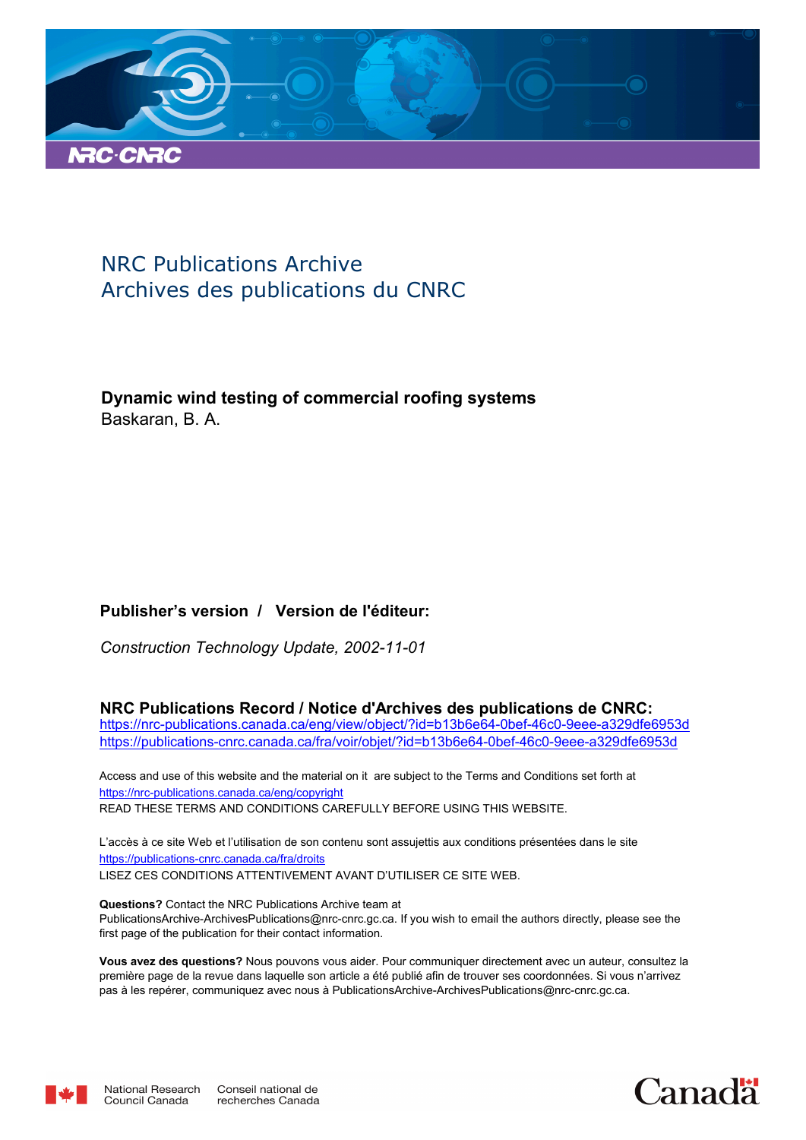

### NRC Publications Archive Archives des publications du CNRC

**Dynamic wind testing of commercial roofing systems** Baskaran, B. A.

#### **Publisher's version / Version de l'éditeur:**

*Construction Technology Update, 2002-11-01*

**NRC Publications Record / Notice d'Archives des publications de CNRC:**

https://nrc-publications.canada.ca/eng/view/object/?id=b13b6e64-0bef-46c0-9eee-a329dfe6953d https://publications-cnrc.canada.ca/fra/voir/objet/?id=b13b6e64-0bef-46c0-9eee-a329dfe6953d

READ THESE TERMS AND CONDITIONS CAREFULLY BEFORE USING THIS WEBSITE. https://nrc-publications.canada.ca/eng/copyright Access and use of this website and the material on it are subject to the Terms and Conditions set forth at

https://publications-cnrc.canada.ca/fra/droits L'accès à ce site Web et l'utilisation de son contenu sont assujettis aux conditions présentées dans le site LISEZ CES CONDITIONS ATTENTIVEMENT AVANT D'UTILISER CE SITE WEB.

**Questions?** Contact the NRC Publications Archive team at PublicationsArchive-ArchivesPublications@nrc-cnrc.gc.ca. If you wish to email the authors directly, please see the first page of the publication for their contact information.

**Vous avez des questions?** Nous pouvons vous aider. Pour communiquer directement avec un auteur, consultez la première page de la revue dans laquelle son article a été publié afin de trouver ses coordonnées. Si vous n'arrivez pas à les repérer, communiquez avec nous à PublicationsArchive-ArchivesPublications@nrc-cnrc.gc.ca.



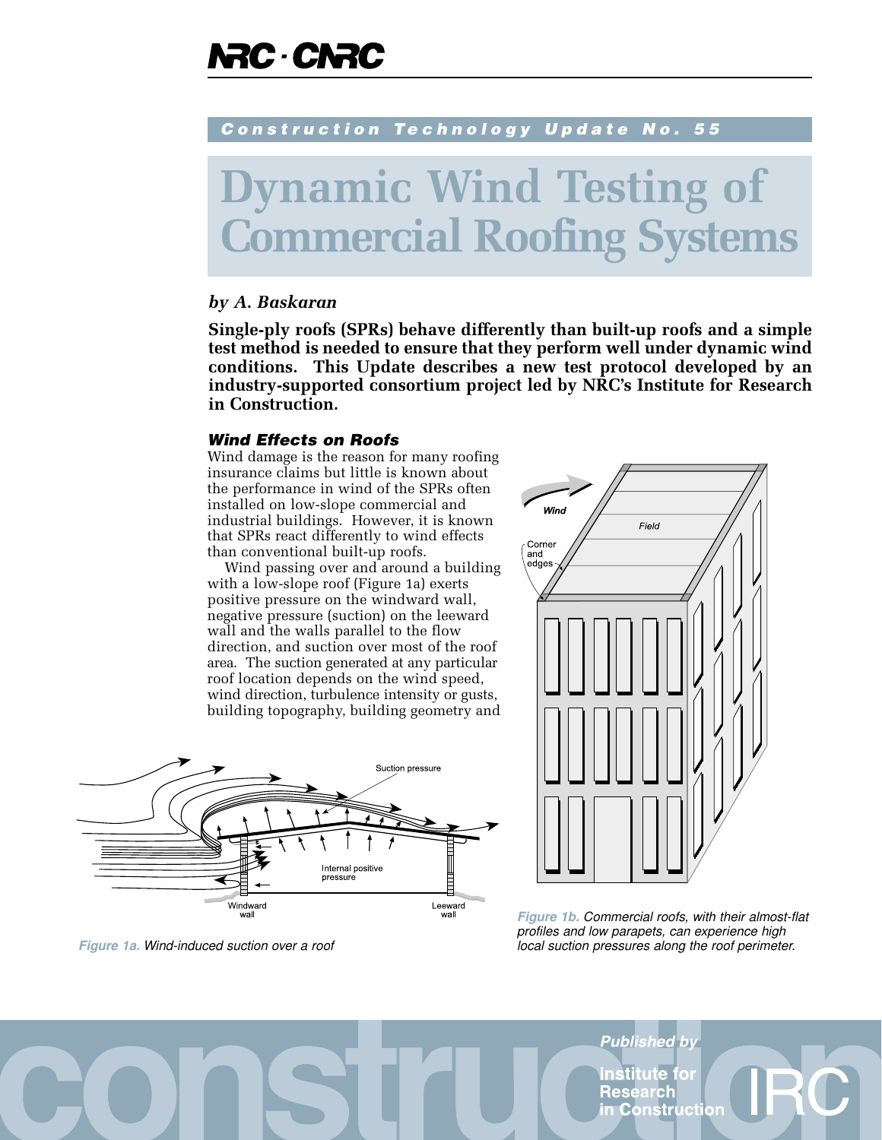## **RC CNRC**

#### Construction Technology Update No. 55

# **namic Wind Testing of nercial Roofing Systems**

#### *by A. Baskaran*

**Single-ply roofs (SPRs) behave differently than built-up roofs and a simple test method is needed to ensure that they perform well under dynamic wind conditions. This Update describes a new test protocol developed by an industry-supported consortium project led by NRC's Institute for Research in Construction.**

#### Wind Effects on Roofs

Wind damage is the reason for many roofing insurance claims but little is known about the performance in wind of the SPRs often installed on low-slope commercial and industrial buildings. However, it is known that SPRs react differently to wind effects than conventional built-up roofs.

Wind passing over and around a building with a low-slope roof (Figure 1a) exerts positive pressure on the windward wall, negative pressure (suction) on the leeward wall and the walls parallel to the flow direction, and suction over most of the roof area. The suction generated at any particular roof location depends on the wind speed, wind direction, turbulence intensity or gusts, building topography, building geometry and



**Figure 1a.** Wind-induced suction over a roof



**Figure 1b.** Commercial roofs, with their almost-flat profiles and low parapets, can experience high local suction pressures along the roof perimeter.

Published by nstitute for Research n Construct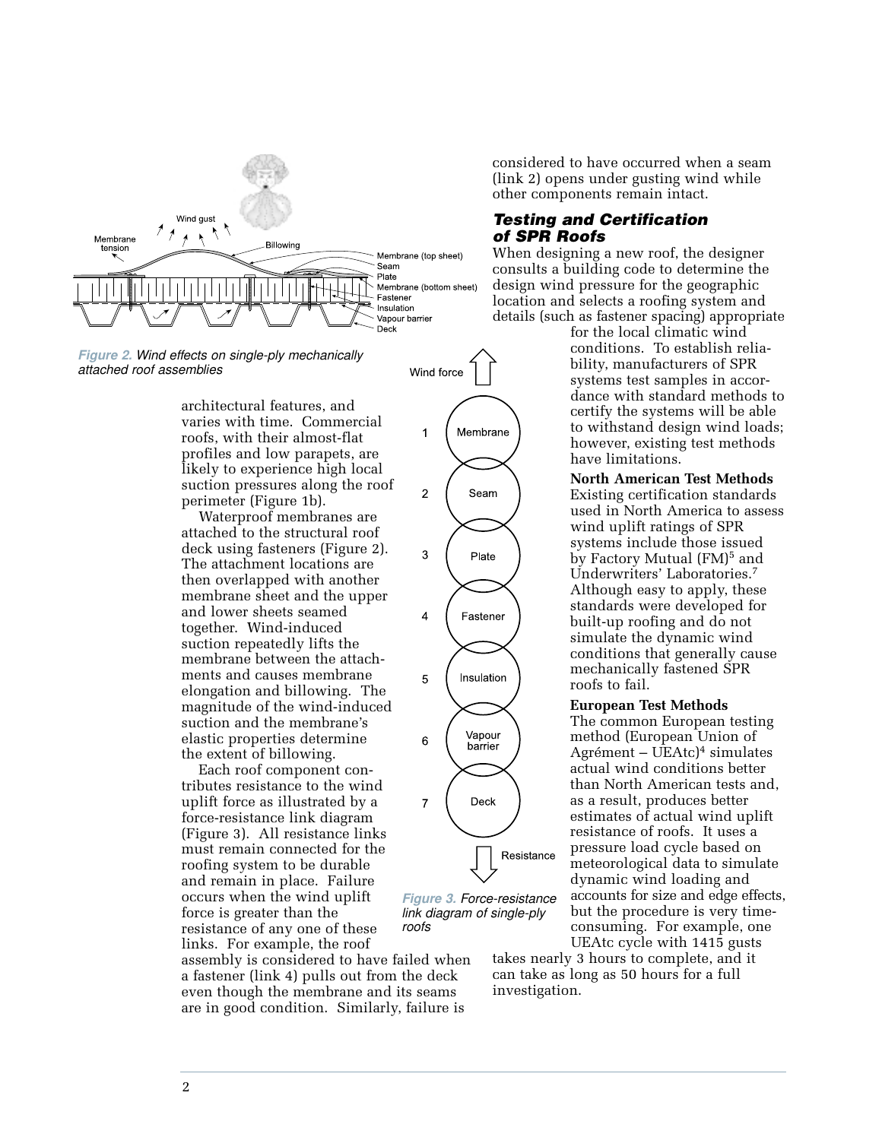

**Figure 2.** Wind effects on single-ply mechanically attached roof assemblies

architectural features, and varies with time. Commercial roofs, with their almost-flat profiles and low parapets, are likely to experience high local suction pressures along the roof perimeter (Figure 1b).

Waterproof membranes are attached to the structural roof deck using fasteners (Figure 2). The attachment locations are then overlapped with another membrane sheet and the upper and lower sheets seamed together. Wind-induced suction repeatedly lifts the membrane between the attachments and causes membrane elongation and billowing. The magnitude of the wind-induced suction and the membrane's elastic properties determine the extent of billowing.

Each roof component contributes resistance to the wind uplift force as illustrated by a force-resistance link diagram (Figure 3). All resistance links must remain connected for the roofing system to be durable and remain in place. Failure occurs when the wind uplift force is greater than the resistance of any one of these links. For example, the roof

assembly is considered to have failed when a fastener (link 4) pulls out from the deck even though the membrane and its seams are in good condition. Similarly, failure is

considered to have occurred when a seam (link 2) opens under gusting wind while other components remain intact.

#### Testing and Certification of SPR Roofs

When designing a new roof, the designer consults a building code to determine the design wind pressure for the geographic location and selects a roofing system and details (such as fastener spacing) appropriate

for the local climatic wind conditions. To establish reliability, manufacturers of SPR systems test samples in accordance with standard methods to certify the systems will be able to withstand design wind loads; however, existing test methods have limitations.

#### **North American Test Methods**

Existing certification standards used in North America to assess wind uplift ratings of SPR systems include those issued by Factory Mutual (FM)<sup>5</sup> and Underwriters' Laboratories.<sup>7</sup> Although easy to apply, these standards were developed for built-up roofing and do not simulate the dynamic wind conditions that generally cause mechanically fastened SPR roofs to fail.

#### **European Test Methods**

The common European testing method (European Union of Agrément – UEAtc)<sup>4</sup> simulates actual wind conditions better than North American tests and, as a result, produces better estimates of actual wind uplift resistance of roofs. It uses a pressure load cycle based on meteorological data to simulate dynamic wind loading and accounts for size and edge effects, but the procedure is very timeconsuming. For example, one UEAtc cycle with 1415 gusts

takes nearly 3 hours to complete, and it can take as long as 50 hours for a full investigation.

**Figure 3.** Force-resistance link diagram of single-ply

roofs

Wind force

1

 $\overline{c}$ 

3

 $\overline{4}$ 

5

6

 $\overline{7}$ 

Membrane

Seam

Plate

Fastener

Insulation

Vapour

barrier

Deck

Resistance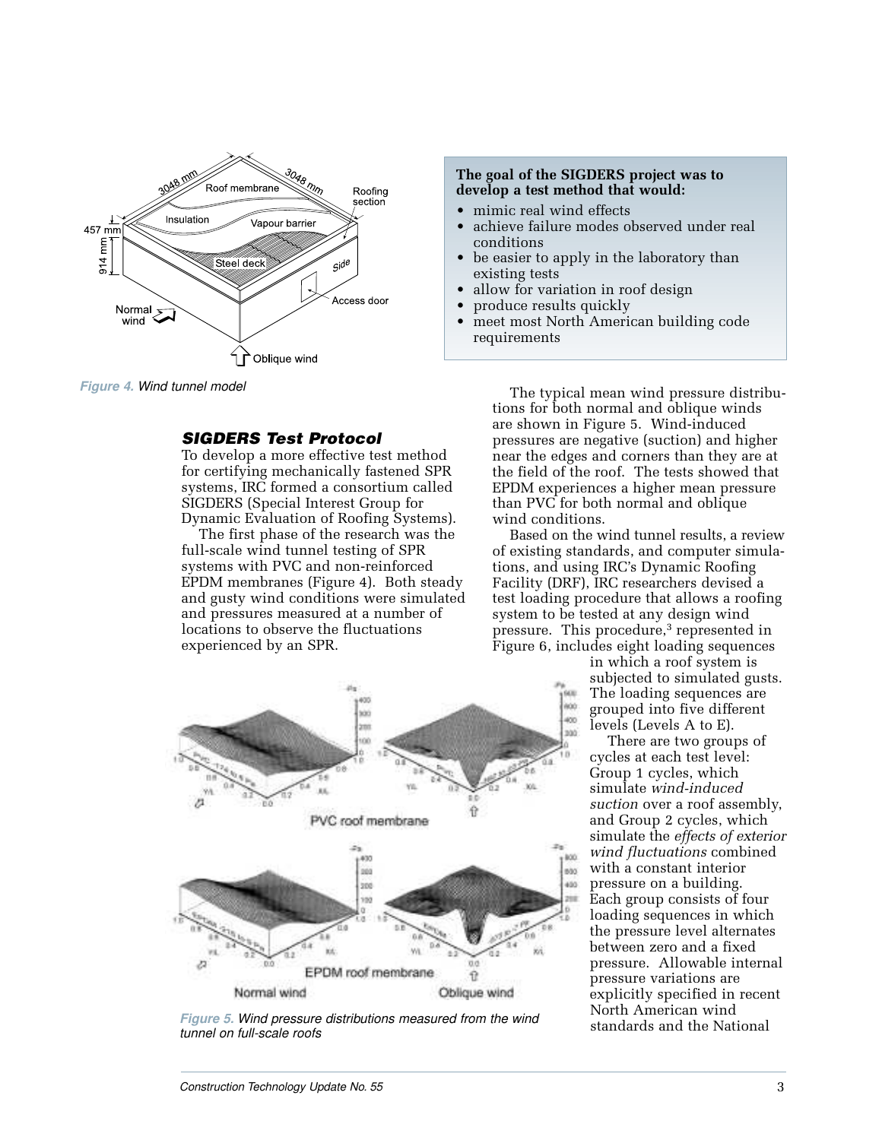

**Figure 4.** Wind tunnel model

#### SIGDERS Test Protocol

To develop a more effective test method for certifying mechanically fastened SPR systems, IRC formed a consortium called SIGDERS (Special Interest Group for Dynamic Evaluation of Roofing Systems).

The first phase of the research was the full-scale wind tunnel testing of SPR systems with PVC and non-reinforced EPDM membranes (Figure 4). Both steady and gusty wind conditions were simulated and pressures measured at a number of locations to observe the fluctuations experienced by an SPR.



**Figure 5.** Wind pressure distributions measured from the wind tunnel on full-scale roofs

#### **The goal of the SIGDERS project was to develop a test method that would:**

- mimic real wind effects
- achieve failure modes observed under real conditions
- be easier to apply in the laboratory than existing tests
- allow for variation in roof design
- produce results quickly
- meet most North American building code requirements

The typical mean wind pressure distributions for both normal and oblique winds are shown in Figure 5. Wind-induced pressures are negative (suction) and higher near the edges and corners than they are at the field of the roof. The tests showed that EPDM experiences a higher mean pressure than PVC for both normal and oblique wind conditions.

Based on the wind tunnel results, a review of existing standards, and computer simulations, and using IRC's Dynamic Roofing Facility (DRF), IRC researchers devised a test loading procedure that allows a roofing system to be tested at any design wind pressure. This procedure,<sup>3</sup> represented in Figure 6, includes eight loading sequences

> in which a roof system is subjected to simulated gusts. The loading sequences are grouped into five different levels (Levels A to E).

There are two groups of cycles at each test level: Group 1 cycles, which simulate *wind-induced suction* over a roof assembly, and Group 2 cycles, which simulate the *effects of exterior wind fluctuations* combined with a constant interior pressure on a building. Each group consists of four loading sequences in which the pressure level alternates between zero and a fixed pressure. Allowable internal pressure variations are explicitly specified in recent North American wind standards and the National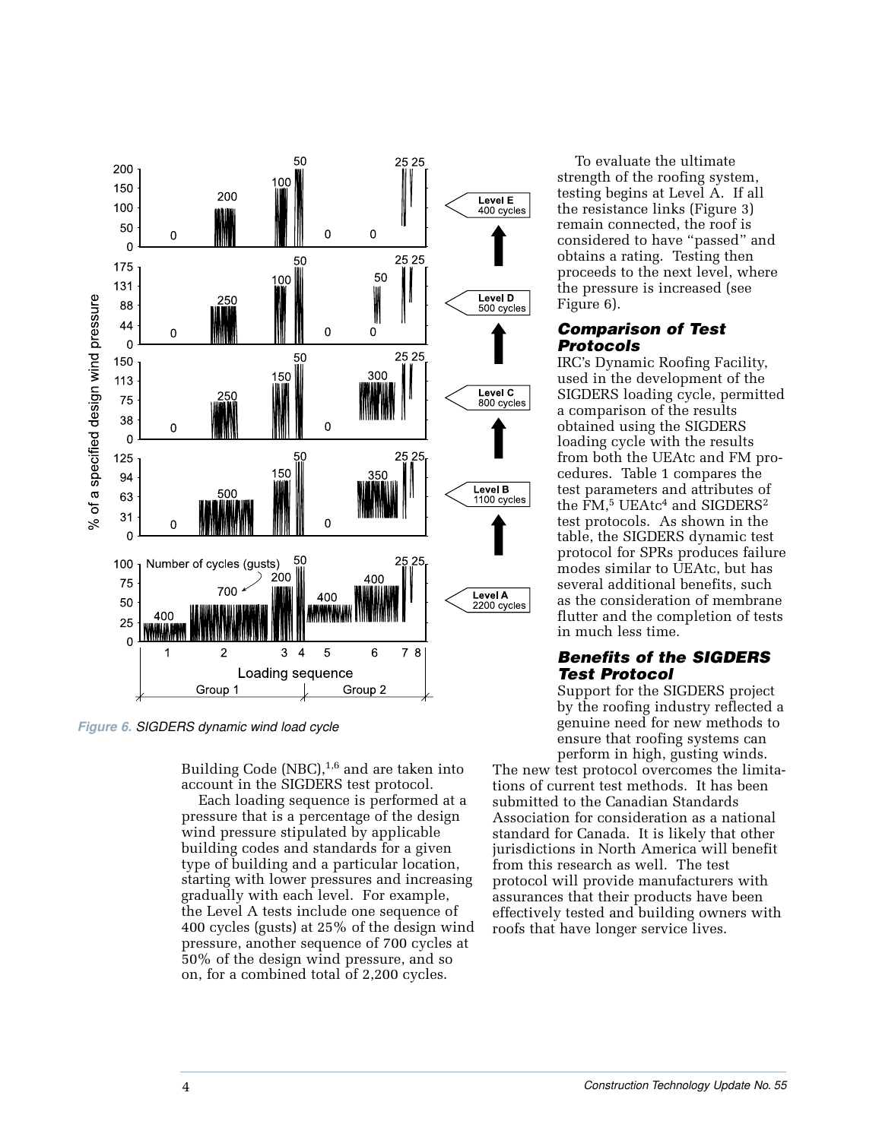

**Figure 6.** SIGDERS dynamic wind load cycle

Building Code (NBC), $1,6$  and are taken into account in the SIGDERS test protocol.

Each loading sequence is performed at a pressure that is a percentage of the design wind pressure stipulated by applicable building codes and standards for a given type of building and a particular location, starting with lower pressures and increasing gradually with each level. For example, the Level A tests include one sequence of 400 cycles (gusts) at 25% of the design wind pressure, another sequence of 700 cycles at 50% of the design wind pressure, and so on, for a combined total of 2,200 cycles.

To evaluate the ultimate strength of the roofing system, testing begins at Level A. If all the resistance links (Figure 3) remain connected, the roof is considered to have "passed" and obtains a rating. Testing then proceeds to the next level, where the pressure is increased (see Figure 6).

#### Comparison of Test Protocols

IRC's Dynamic Roofing Facility, used in the development of the SIGDERS loading cycle, permitted a comparison of the results obtained using the SIGDERS loading cycle with the results from both the UEAtc and FM procedures. Table 1 compares the test parameters and attributes of the  $\text{FM},^5$  UEAtc<sup>4</sup> and SIGDERS<sup>2</sup> test protocols. As shown in the table, the SIGDERS dynamic test protocol for SPRs produces failure modes similar to UEAtc, but has several additional benefits, such as the consideration of membrane flutter and the completion of tests in much less time.

#### Benefits of the SIGDERS Test Protocol

Support for the SIGDERS project by the roofing industry reflected a genuine need for new methods to ensure that roofing systems can perform in high, gusting winds.

The new test protocol overcomes the limitations of current test methods. It has been submitted to the Canadian Standards Association for consideration as a national standard for Canada. It is likely that other jurisdictions in North America will benefit from this research as well. The test protocol will provide manufacturers with assurances that their products have been effectively tested and building owners with roofs that have longer service lives.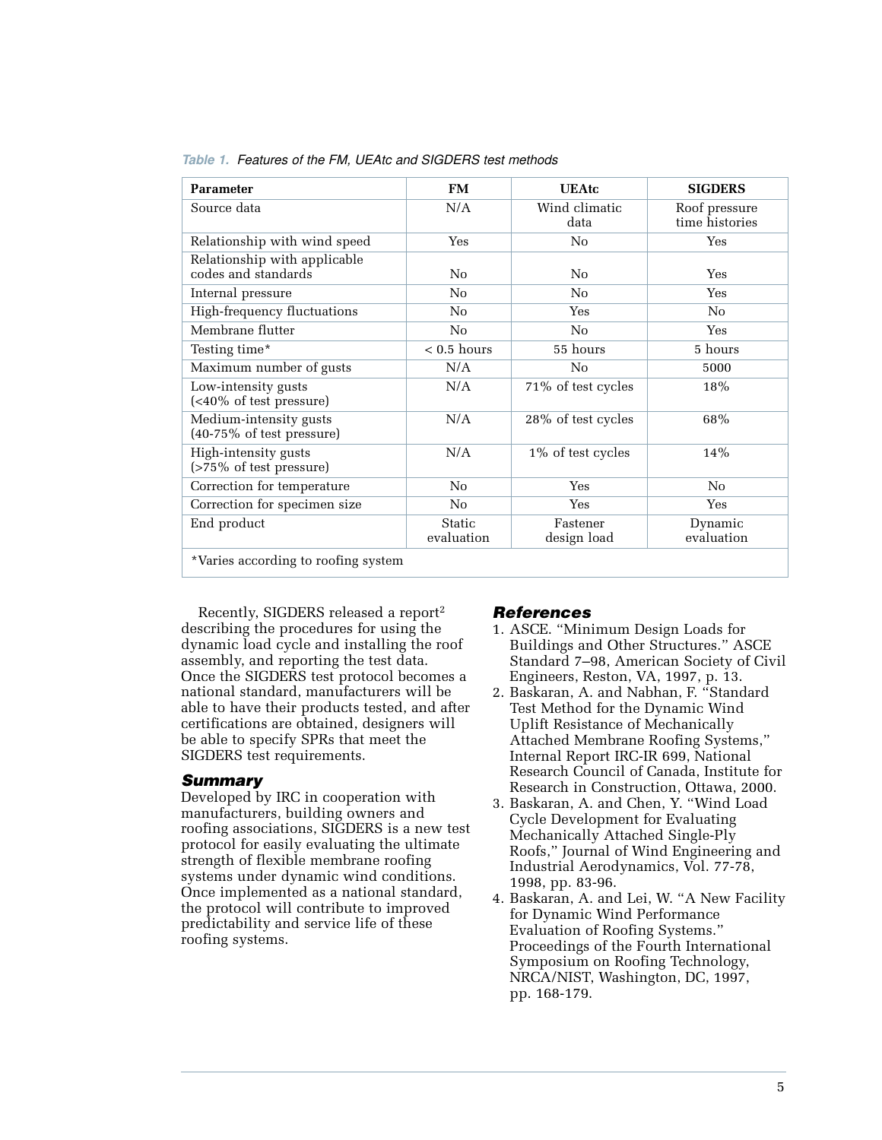| <b>Parameter</b>                                               | <b>FM</b>            | <b>UEAtc</b>            | <b>SIGDERS</b>                  |
|----------------------------------------------------------------|----------------------|-------------------------|---------------------------------|
| Source data                                                    | N/A                  | Wind climatic<br>data   | Roof pressure<br>time histories |
| Relationship with wind speed                                   | Yes                  | No                      | Yes                             |
| Relationship with applicable<br>codes and standards            | No                   | No                      | Yes                             |
| Internal pressure                                              | No                   | No                      | Yes                             |
| High-frequency fluctuations                                    | No                   | Yes                     | No                              |
| Membrane flutter                                               | No                   | No                      | Yes                             |
| Testing time*                                                  | $< 0.5$ hours        | 55 hours                | 5 hours                         |
| Maximum number of gusts                                        | N/A                  | N <sub>0</sub>          | 5000                            |
| Low-intensity gusts<br>(<40\% of test pressure)                | N/A                  | 71% of test cycles      | 18%                             |
| Medium-intensity gusts<br>$(40-75\% \text{ of test pressure})$ | N/A                  | 28% of test cycles      | 68%                             |
| High-intensity gusts<br>(>75% of test pressure)                | N/A                  | 1% of test cycles       | 14%                             |
| Correction for temperature                                     | No                   | Yes                     | No                              |
| Correction for specimen size                                   | No                   | Yes                     | Yes                             |
| End product                                                    | Static<br>evaluation | Fastener<br>design load | Dynamic<br>evaluation           |
| *Varies according to roofing system                            |                      |                         |                                 |

**Table 1.** Features of the FM, UEAtc and SIGDERS test methods

Recently, SIGDERS released a report<sup>2</sup> describing the procedures for using the dynamic load cycle and installing the roof assembly, and reporting the test data. Once the SIGDERS test protocol becomes a national standard, manufacturers will be able to have their products tested, and after certifications are obtained, designers will be able to specify SPRs that meet the SIGDERS test requirements.

#### Summary

Developed by IRC in cooperation with manufacturers, building owners and roofing associations, SIGDERS is a new test protocol for easily evaluating the ultimate strength of flexible membrane roofing systems under dynamic wind conditions. Once implemented as a national standard, the protocol will contribute to improved predictability and service life of these roofing systems.

#### References

- 1. ASCE. "Minimum Design Loads for Buildings and Other Structures." ASCE Standard 7–98, American Society of Civil Engineers, Reston, VA, 1997, p. 13.
- 2. Baskaran, A. and Nabhan, F. "Standard Test Method for the Dynamic Wind Uplift Resistance of Mechanically Attached Membrane Roofing Systems," Internal Report IRC-IR 699, National Research Council of Canada, Institute for Research in Construction, Ottawa, 2000.
- 3. Baskaran, A. and Chen, Y. "Wind Load Cycle Development for Evaluating Mechanically Attached Single-Ply Roofs," Journal of Wind Engineering and Industrial Aerodynamics, Vol. 77-78, 1998, pp. 83-96.
- 4. Baskaran, A. and Lei, W. "A New Facility for Dynamic Wind Performance Evaluation of Roofing Systems." Proceedings of the Fourth International Symposium on Roofing Technology, NRCA/NIST, Washington, DC, 1997, pp. 168-179.